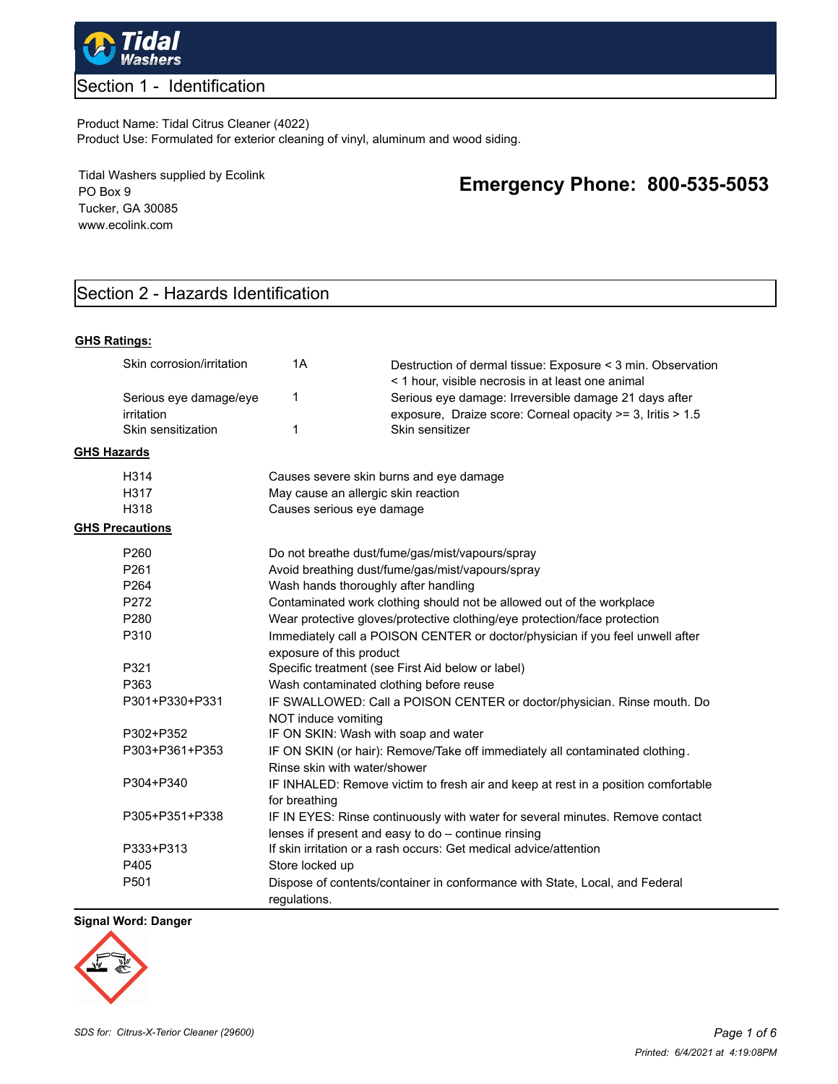

## Section 1 - Identification

Product Name: Tidal Citrus Cleaner (4022) Product Use: Formulated for exterior cleaning of vinyl, aluminum and wood siding.

Tidal Washers supplied by Ecolink PO Box 9 Tucker, GA 30085 www.ecolink.com

## **Emergency Phone: 800-535-5053**

## Section 2 - Hazards Identification

#### **GHS Ratings:**

|                    | Skin corrosion/irritation            | 1A                                                                                                                                                                                     | Destruction of dermal tissue: Exposure < 3 min. Observation<br>< 1 hour, visible necrosis in at least one animal                     |  |  |
|--------------------|--------------------------------------|----------------------------------------------------------------------------------------------------------------------------------------------------------------------------------------|--------------------------------------------------------------------------------------------------------------------------------------|--|--|
|                    | Serious eye damage/eye<br>irritation | 1                                                                                                                                                                                      | Serious eye damage: Irreversible damage 21 days after<br>exposure, Draize score: Corneal opacity >= 3, Iritis > 1.5                  |  |  |
|                    | Skin sensitization                   | $\mathbf{1}$                                                                                                                                                                           | Skin sensitizer                                                                                                                      |  |  |
| <b>GHS Hazards</b> |                                      |                                                                                                                                                                                        |                                                                                                                                      |  |  |
|                    | H314                                 | Causes severe skin burns and eye damage                                                                                                                                                |                                                                                                                                      |  |  |
|                    | H317                                 | May cause an allergic skin reaction                                                                                                                                                    |                                                                                                                                      |  |  |
|                    | H318                                 | Causes serious eye damage                                                                                                                                                              |                                                                                                                                      |  |  |
|                    | <b>GHS Precautions</b>               |                                                                                                                                                                                        |                                                                                                                                      |  |  |
|                    | P <sub>260</sub>                     |                                                                                                                                                                                        | Do not breathe dust/fume/gas/mist/vapours/spray                                                                                      |  |  |
|                    | P261                                 | Avoid breathing dust/fume/gas/mist/vapours/spray                                                                                                                                       |                                                                                                                                      |  |  |
|                    | P264                                 | Wash hands thoroughly after handling                                                                                                                                                   |                                                                                                                                      |  |  |
|                    | P272                                 | Contaminated work clothing should not be allowed out of the workplace                                                                                                                  |                                                                                                                                      |  |  |
|                    | P <sub>280</sub>                     | Wear protective gloves/protective clothing/eye protection/face protection<br>Immediately call a POISON CENTER or doctor/physician if you feel unwell after<br>exposure of this product |                                                                                                                                      |  |  |
|                    | P310                                 |                                                                                                                                                                                        |                                                                                                                                      |  |  |
|                    | P321                                 | Specific treatment (see First Aid below or label)                                                                                                                                      |                                                                                                                                      |  |  |
|                    | P363                                 | Wash contaminated clothing before reuse                                                                                                                                                |                                                                                                                                      |  |  |
|                    | P301+P330+P331                       | IF SWALLOWED: Call a POISON CENTER or doctor/physician. Rinse mouth. Do<br>NOT induce vomiting                                                                                         |                                                                                                                                      |  |  |
|                    | P302+P352                            | IF ON SKIN: Wash with soap and water                                                                                                                                                   |                                                                                                                                      |  |  |
|                    | P303+P361+P353                       | IF ON SKIN (or hair): Remove/Take off immediately all contaminated clothing.<br>Rinse skin with water/shower                                                                           |                                                                                                                                      |  |  |
|                    | P304+P340                            | for breathing                                                                                                                                                                          | IF INHALED: Remove victim to fresh air and keep at rest in a position comfortable                                                    |  |  |
|                    | P305+P351+P338                       |                                                                                                                                                                                        | IF IN EYES: Rinse continuously with water for several minutes. Remove contact<br>lenses if present and easy to do - continue rinsing |  |  |
|                    | P333+P313                            |                                                                                                                                                                                        | If skin irritation or a rash occurs: Get medical advice/attention                                                                    |  |  |
|                    | P405                                 | Store locked up                                                                                                                                                                        |                                                                                                                                      |  |  |
|                    | P501                                 | regulations.                                                                                                                                                                           | Dispose of contents/container in conformance with State, Local, and Federal                                                          |  |  |

#### **Signal Word: Danger**

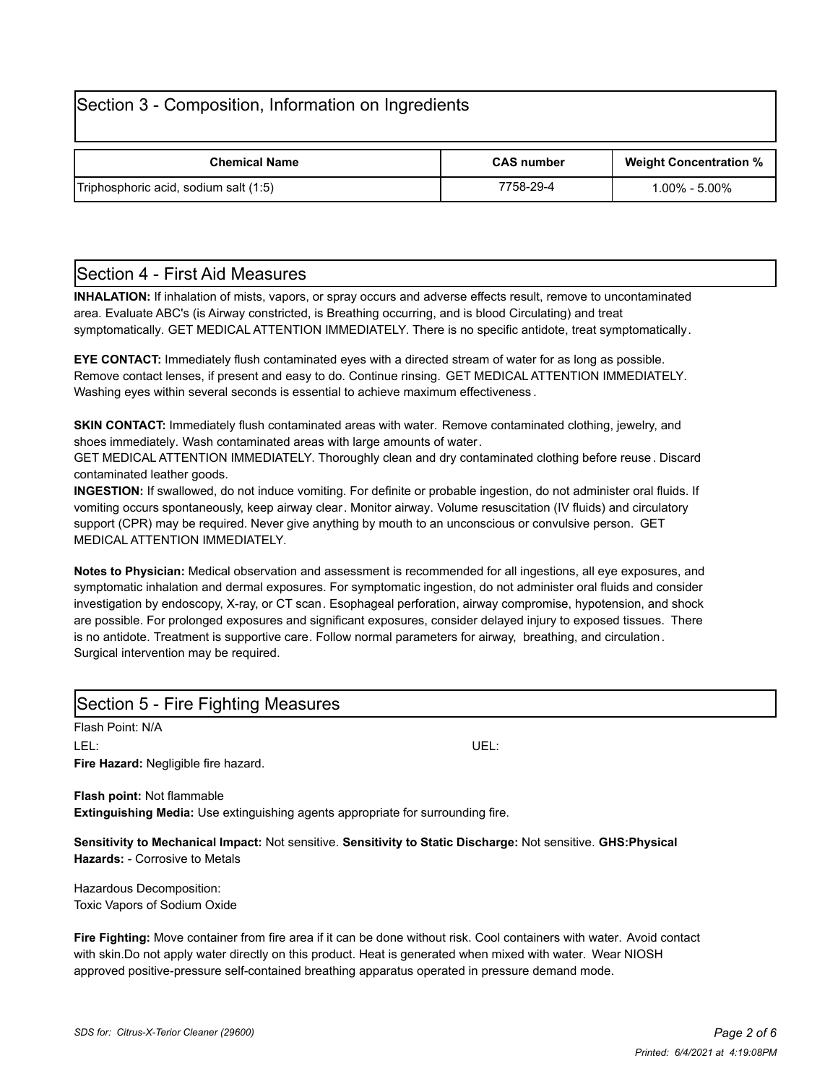## Section 3 - Composition, Information on Ingredients

| <b>Chemical Name</b>                  | <b>CAS number</b> | <b>Weight Concentration %</b> |
|---------------------------------------|-------------------|-------------------------------|
| Triphosphoric acid, sodium salt (1:5) | 7758-29-4         | $1.00\% - 5.00\%$             |

## Section 4 - First Aid Measures

**INHALATION:** If inhalation of mists, vapors, or spray occurs and adverse effects result, remove to uncontaminated area. Evaluate ABC's (is Airway constricted, is Breathing occurring, and is blood Circulating) and treat symptomatically. GET MEDICAL ATTENTION IMMEDIATELY. There is no specific antidote, treat symptomatically.

**EYE CONTACT:** Immediately flush contaminated eyes with a directed stream of water for as long as possible. Remove contact lenses, if present and easy to do. Continue rinsing. GET MEDICAL ATTENTION IMMEDIATELY. Washing eyes within several seconds is essential to achieve maximum effectiveness .

**SKIN CONTACT:** Immediately flush contaminated areas with water. Remove contaminated clothing, jewelry, and shoes immediately. Wash contaminated areas with large amounts of water.

GET MEDICAL ATTENTION IMMEDIATELY. Thoroughly clean and dry contaminated clothing before reuse. Discard contaminated leather goods.

**INGESTION:** If swallowed, do not induce vomiting. For definite or probable ingestion, do not administer oral fluids. If vomiting occurs spontaneously, keep airway clear. Monitor airway. Volume resuscitation (IV fluids) and circulatory support (CPR) may be required. Never give anything by mouth to an unconscious or convulsive person. GET MEDICAL ATTENTION IMMEDIATELY.

**Notes to Physician:** Medical observation and assessment is recommended for all ingestions, all eye exposures, and symptomatic inhalation and dermal exposures. For symptomatic ingestion, do not administer oral fluids and consider investigation by endoscopy, X-ray, or CT scan. Esophageal perforation, airway compromise, hypotension, and shock are possible. For prolonged exposures and significant exposures, consider delayed injury to exposed tissues. There is no antidote. Treatment is supportive care. Follow normal parameters for airway, breathing, and circulation. Surgical intervention may be required.

| Section 5 - Fire Fighting Measures   |      |  |  |  |  |
|--------------------------------------|------|--|--|--|--|
| Flash Point: N/A                     |      |  |  |  |  |
| LEL:                                 | UEL: |  |  |  |  |
| Fire Hazard: Negligible fire hazard. |      |  |  |  |  |
| <b>Flash point: Not flammable</b>    |      |  |  |  |  |

**Extinguishing Media:** Use extinguishing agents appropriate for surrounding fire.

**Sensitivity to Mechanical Impact:** Not sensitive. **Sensitivity to Static Discharge:** Not sensitive. **GHS:Physical Hazards:** - Corrosive to Metals

Hazardous Decomposition: Toxic Vapors of Sodium Oxide

**Fire Fighting:** Move container from fire area if it can be done without risk. Cool containers with water. Avoid contact with skin.Do not apply water directly on this product. Heat is generated when mixed with water. Wear NIOSH approved positive-pressure self-contained breathing apparatus operated in pressure demand mode.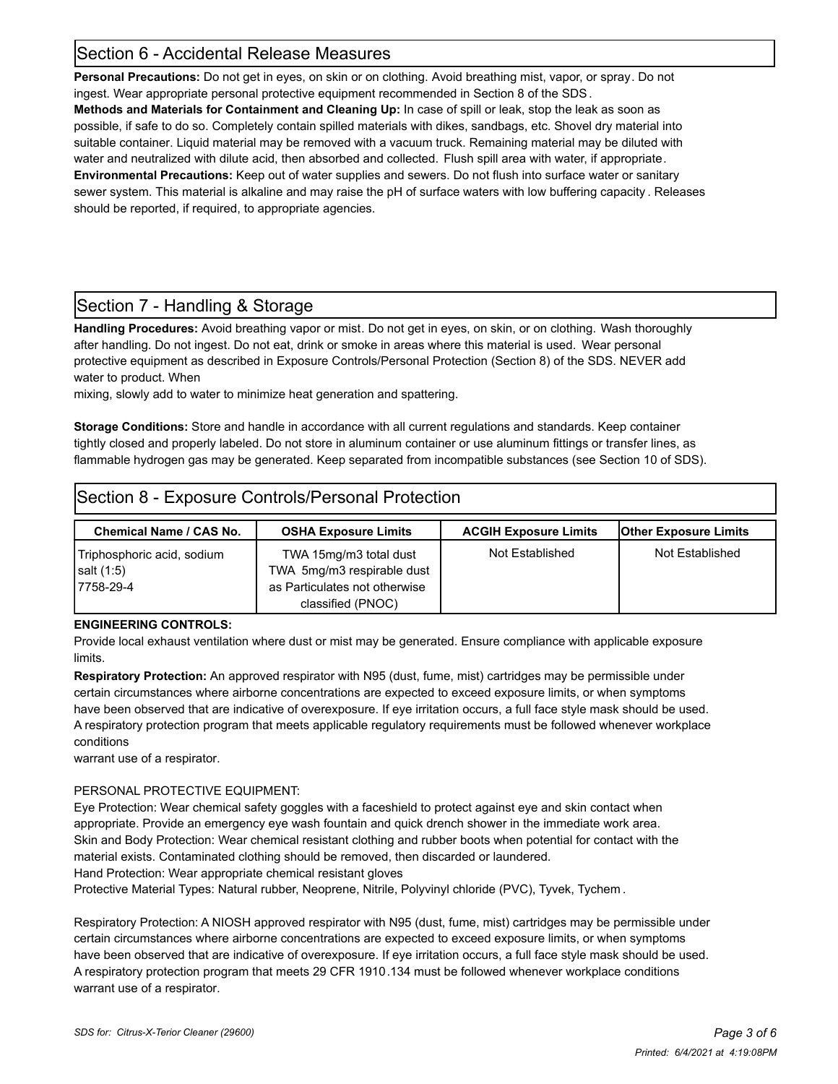## Section 6 - Accidental Release Measures

**Personal Precautions:** Do not get in eyes, on skin or on clothing. Avoid breathing mist, vapor, or spray. Do not ingest. Wear appropriate personal protective equipment recommended in Section 8 of the SDS. **Methods and Materials for Containment and Cleaning Up:** In case of spill or leak, stop the leak as soon as

possible, if safe to do so. Completely contain spilled materials with dikes, sandbags, etc. Shovel dry material into suitable container. Liquid material may be removed with a vacuum truck. Remaining material may be diluted with water and neutralized with dilute acid, then absorbed and collected. Flush spill area with water, if appropriate. **Environmental Precautions:** Keep out of water supplies and sewers. Do not flush into surface water or sanitary sewer system. This material is alkaline and may raise the pH of surface waters with low buffering capacity . Releases should be reported, if required, to appropriate agencies.

## Section 7 - Handling & Storage

**Handling Procedures:** Avoid breathing vapor or mist. Do not get in eyes, on skin, or on clothing. Wash thoroughly after handling. Do not ingest. Do not eat, drink or smoke in areas where this material is used. Wear personal protective equipment as described in Exposure Controls/Personal Protection (Section 8) of the SDS. NEVER add water to product. When

mixing, slowly add to water to minimize heat generation and spattering.

**Storage Conditions:** Store and handle in accordance with all current regulations and standards. Keep container tightly closed and properly labeled. Do not store in aluminum container or use aluminum fittings or transfer lines, as flammable hydrogen gas may be generated. Keep separated from incompatible substances (see Section 10 of SDS).

## Section 8 - Exposure Controls/Personal Protection

| <b>Chemical Name / CAS No.</b>                              | <b>OSHA Exposure Limits</b>                                                                                | <b>ACGIH Exposure Limits</b> | <b>Other Exposure Limits</b> |
|-------------------------------------------------------------|------------------------------------------------------------------------------------------------------------|------------------------------|------------------------------|
| Triphosphoric acid, sodium<br>$ $ salt $(1:5)$<br>7758-29-4 | TWA 15mg/m3 total dust<br>TWA 5mg/m3 respirable dust<br>as Particulates not otherwise<br>classified (PNOC) | Not Established              | Not Established              |

#### **ENGINEERING CONTROLS:**

Provide local exhaust ventilation where dust or mist may be generated. Ensure compliance with applicable exposure limits.

**Respiratory Protection:** An approved respirator with N95 (dust, fume, mist) cartridges may be permissible under certain circumstances where airborne concentrations are expected to exceed exposure limits, or when symptoms have been observed that are indicative of overexposure. If eye irritation occurs, a full face style mask should be used. A respiratory protection program that meets applicable regulatory requirements must be followed whenever workplace conditions

warrant use of a respirator.

#### PERSONAL PROTECTIVE EQUIPMENT:

Eye Protection: Wear chemical safety goggles with a faceshield to protect against eye and skin contact when appropriate. Provide an emergency eye wash fountain and quick drench shower in the immediate work area. Skin and Body Protection: Wear chemical resistant clothing and rubber boots when potential for contact with the material exists. Contaminated clothing should be removed, then discarded or laundered. Hand Protection: Wear appropriate chemical resistant gloves

Protective Material Types: Natural rubber, Neoprene, Nitrile, Polyvinyl chloride (PVC), Tyvek, Tychem .

Respiratory Protection: A NIOSH approved respirator with N95 (dust, fume, mist) cartridges may be permissible under certain circumstances where airborne concentrations are expected to exceed exposure limits, or when symptoms have been observed that are indicative of overexposure. If eye irritation occurs, a full face style mask should be used. A respiratory protection program that meets 29 CFR 1910.134 must be followed whenever workplace conditions warrant use of a respirator.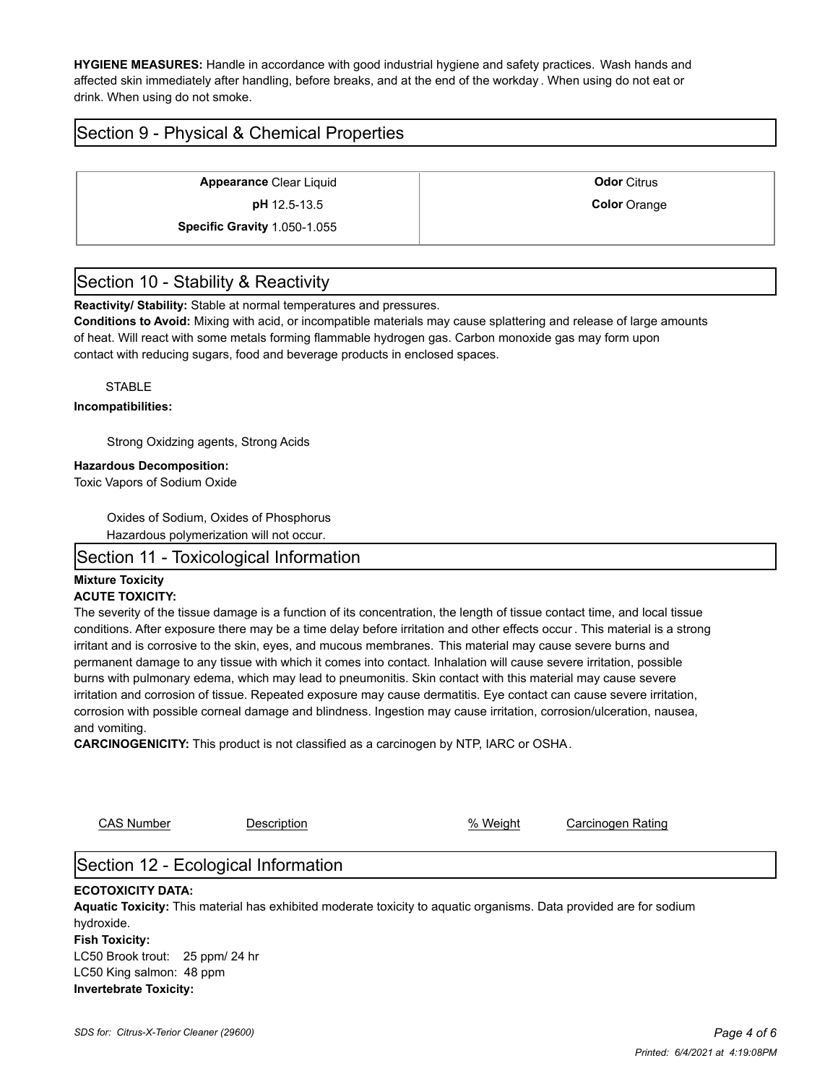**HYGIENE MEASURES:** Handle in accordance with good industrial hygiene and safety practices. Wash hands and affected skin immediately after handling, before breaks, and at the end of the workday . When using do not eat or drink. When using do not smoke.

## Section 9 - Physical & Chemical Properties

**Appearance** Clear Liquid **Constanting Clear Liquid Constanting Clear Citrus Odor** Citrus **pH** 12.5-13.5 **Color** Orange **Specific Gravity** 1.050-1.055

## Section 10 - Stability & Reactivity

**Reactivity/ Stability:** Stable at normal temperatures and pressures.

**Conditions to Avoid:** Mixing with acid, or incompatible materials may cause splattering and release of large amounts of heat. Will react with some metals forming flammable hydrogen gas. Carbon monoxide gas may form upon contact with reducing sugars, food and beverage products in enclosed spaces.

**STABLE** 

#### **Incompatibilities:**

Strong Oxidzing agents, Strong Acids

#### **Hazardous Decomposition:**

Toxic Vapors of Sodium Oxide

Oxides of Sodium, Oxides of Phosphorus

Hazardous polymerization will not occur.

#### Section 11 - Toxicological Information

#### **Mixture Toxicity**

#### **ACUTE TOXICITY:**

The severity of the tissue damage is a function of its concentration, the length of tissue contact time, and local tissue conditions. After exposure there may be a time delay before irritation and other effects occur . This material is a strong irritant and is corrosive to the skin, eyes, and mucous membranes. This material may cause severe burns and permanent damage to any tissue with which it comes into contact. Inhalation will cause severe irritation, possible burns with pulmonary edema, which may lead to pneumonitis. Skin contact with this material may cause severe irritation and corrosion of tissue. Repeated exposure may cause dermatitis. Eye contact can cause severe irritation, corrosion with possible corneal damage and blindness. Ingestion may cause irritation, corrosion/ulceration, nausea, and vomiting.

**CARCINOGENICITY:** This product is not classified as a carcinogen by NTP, IARC or OSHA.

CAS Number Description % Weight Carcinogen Rating

## Section 12 - Ecological Information

#### **ECOTOXICITY DATA:**

**Aquatic Toxicity:** This material has exhibited moderate toxicity to aquatic organisms. Data provided are for sodium hydroxide. **Fish Toxicity:** LC50 Brook trout: 25 ppm/ 24 hr LC50 King salmon: 48 ppm **Invertebrate Toxicity:**